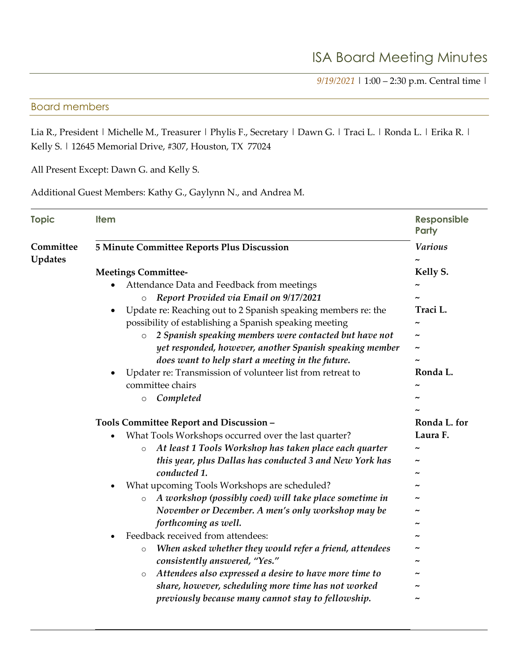*9/19/2021* | 1:00 – 2:30 p.m. Central time |

## Board members

Lia R., President | Michelle M., Treasurer | Phylis F., Secretary | Dawn G. | Traci L. | Ronda L. | Erika R. | Kelly S. | 12645 Memorial Drive, #307, Houston, TX 77024

All Present Except: Dawn G. and Kelly S.

Additional Guest Members: Kathy G., Gaylynn N., and Andrea M.

| <b>Topic</b>                | <b>Item</b>                                                                                                                                                                                                                                                                                                                                                                                                                                                                                                                                                                                                                                                                     | Responsible<br>Party                                                                |
|-----------------------------|---------------------------------------------------------------------------------------------------------------------------------------------------------------------------------------------------------------------------------------------------------------------------------------------------------------------------------------------------------------------------------------------------------------------------------------------------------------------------------------------------------------------------------------------------------------------------------------------------------------------------------------------------------------------------------|-------------------------------------------------------------------------------------|
| Committee<br><b>Updates</b> | 5 Minute Committee Reports Plus Discussion                                                                                                                                                                                                                                                                                                                                                                                                                                                                                                                                                                                                                                      | <b>Various</b>                                                                      |
|                             | <b>Meetings Committee-</b><br>Attendance Data and Feedback from meetings<br>Report Provided via Email on 9/17/2021<br>$\circ$<br>Update re: Reaching out to 2 Spanish speaking members re: the<br>possibility of establishing a Spanish speaking meeting<br>2 Spanish speaking members were contacted but have not<br>$\circ$<br>yet responded, however, another Spanish speaking member<br>does want to help start a meeting in the future.<br>Updater re: Transmission of volunteer list from retreat to<br>committee chairs                                                                                                                                                  | Kelly S.<br>Traci L.<br>$\tilde{ }$<br>$\tilde{ }$<br>Ronda L.                      |
|                             | Completed<br>$\circ$                                                                                                                                                                                                                                                                                                                                                                                                                                                                                                                                                                                                                                                            |                                                                                     |
|                             | Tools Committee Report and Discussion -                                                                                                                                                                                                                                                                                                                                                                                                                                                                                                                                                                                                                                         | Ronda L. for                                                                        |
|                             | What Tools Workshops occurred over the last quarter?<br>At least 1 Tools Workshop has taken place each quarter<br>$\circ$<br>this year, plus Dallas has conducted 3 and New York has<br>conducted 1.<br>What upcoming Tools Workshops are scheduled?<br>A workshop (possibly coed) will take place sometime in<br>$\circ$<br>November or December. A men's only workshop may be<br>forthcoming as well.<br>Feedback received from attendees:<br>When asked whether they would refer a friend, attendees<br>$\circ$<br>consistently answered, "Yes."<br>Attendees also expressed a desire to have more time to<br>$\circ$<br>share, however, scheduling more time has not worked | Laura F.<br>$\tilde{\phantom{a}}$<br>$\tilde{\phantom{a}}$<br>$\tilde{\phantom{a}}$ |
|                             | previously because many cannot stay to fellowship.                                                                                                                                                                                                                                                                                                                                                                                                                                                                                                                                                                                                                              |                                                                                     |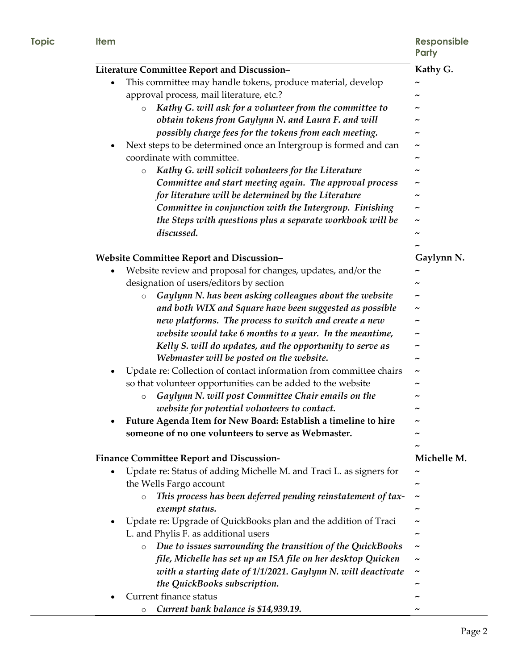| <b>Topic</b> | <b>Item</b>                                                                                                       | <b>Responsible</b><br>Party |
|--------------|-------------------------------------------------------------------------------------------------------------------|-----------------------------|
|              | Literature Committee Report and Discussion-                                                                       | Kathy G.                    |
|              | This committee may handle tokens, produce material, develop<br>$\bullet$                                          |                             |
|              | approval process, mail literature, etc.?                                                                          |                             |
|              | Kathy G. will ask for a volunteer from the committee to<br>$\circ$                                                |                             |
|              | obtain tokens from Gaylynn N. and Laura F. and will                                                               |                             |
|              | possibly charge fees for the tokens from each meeting.                                                            |                             |
|              | Next steps to be determined once an Intergroup is formed and can                                                  |                             |
|              | coordinate with committee.                                                                                        | ~                           |
|              | Kathy G. will solicit volunteers for the Literature<br>$\circ$                                                    |                             |
|              | Committee and start meeting again. The approval process                                                           |                             |
|              | for literature will be determined by the Literature                                                               |                             |
|              | Committee in conjunction with the Intergroup. Finishing                                                           |                             |
|              | the Steps with questions plus a separate workbook will be                                                         | $\tilde{\phantom{a}}$       |
|              | discussed.                                                                                                        |                             |
|              |                                                                                                                   |                             |
|              | <b>Website Committee Report and Discussion-</b>                                                                   | Gaylynn N.                  |
|              | Website review and proposal for changes, updates, and/or the<br>٠                                                 |                             |
|              | designation of users/editors by section                                                                           |                             |
|              | Gaylynn N. has been asking colleagues about the website<br>$\circ$                                                |                             |
|              | and both WIX and Square have been suggested as possible                                                           |                             |
|              | new platforms. The process to switch and create a new                                                             |                             |
|              | website would take 6 months to a year. In the meantime,                                                           |                             |
|              | Kelly S. will do updates, and the opportunity to serve as                                                         |                             |
|              | Webmaster will be posted on the website.                                                                          | ~                           |
|              | Update re: Collection of contact information from committee chairs                                                | $\tilde{\phantom{a}}$       |
|              | so that volunteer opportunities can be added to the website<br>Gaylynn N. will post Committee Chair emails on the |                             |
|              | $\circ$<br>website for potential volunteers to contact.                                                           | ∼                           |
|              | Future Agenda Item for New Board: Establish a timeline to hire                                                    |                             |
|              | someone of no one volunteers to serve as Webmaster.                                                               |                             |
|              |                                                                                                                   |                             |
|              | <b>Finance Committee Report and Discussion-</b>                                                                   | Michelle M.                 |
|              | Update re: Status of adding Michelle M. and Traci L. as signers for                                               |                             |
|              | the Wells Fargo account                                                                                           |                             |
|              | This process has been deferred pending reinstatement of tax-<br>$\circ$                                           |                             |
|              | exempt status.                                                                                                    | ~                           |
|              | Update re: Upgrade of QuickBooks plan and the addition of Traci                                                   |                             |
|              | L. and Phylis F. as additional users                                                                              |                             |
|              | Due to issues surrounding the transition of the QuickBooks<br>$\circ$                                             |                             |
|              | file, Michelle has set up an ISA file on her desktop Quicken                                                      |                             |
|              | with a starting date of 1/1/2021. Gaylynn N. will deactivate                                                      |                             |
|              | the QuickBooks subscription.                                                                                      |                             |
|              | Current finance status                                                                                            |                             |
|              | Current bank balance is \$14,939.19.<br>O                                                                         |                             |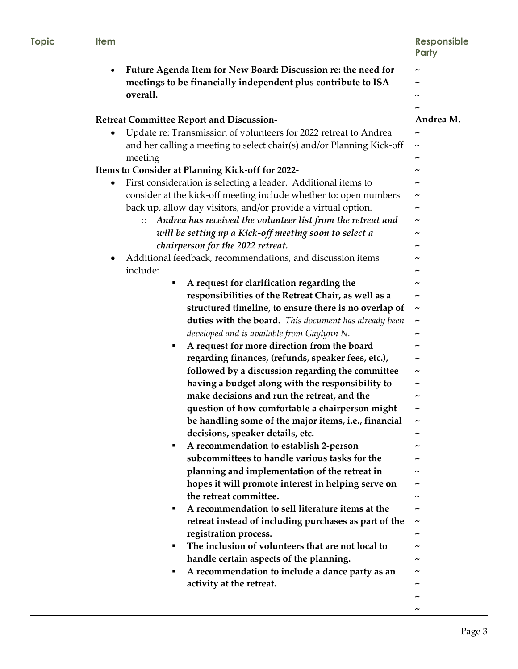| <b>Topic</b> | <b>Item</b>                                                                                                                    | <b>Responsible</b><br>Party |
|--------------|--------------------------------------------------------------------------------------------------------------------------------|-----------------------------|
|              | Future Agenda Item for New Board: Discussion re: the need for<br>meetings to be financially independent plus contribute to ISA | $\tilde{\phantom{a}}$       |
|              | overall.                                                                                                                       |                             |
|              |                                                                                                                                |                             |
|              | <b>Retreat Committee Report and Discussion-</b>                                                                                | Andrea M.                   |
|              | Update re: Transmission of volunteers for 2022 retreat to Andrea<br>$\bullet$                                                  | $\tilde{\phantom{a}}$       |
|              | and her calling a meeting to select chair(s) and/or Planning Kick-off                                                          | $\tilde{\phantom{a}}$       |
|              | meeting                                                                                                                        | $\tilde{\phantom{a}}$       |
|              | Items to Consider at Planning Kick-off for 2022-                                                                               |                             |
|              | First consideration is selecting a leader. Additional items to<br>٠                                                            |                             |
|              | consider at the kick-off meeting include whether to: open numbers                                                              |                             |
|              | back up, allow day visitors, and/or provide a virtual option.                                                                  |                             |
|              | Andrea has received the volunteer list from the retreat and<br>$\circ$                                                         | $\tilde{\phantom{a}}$       |
|              | will be setting up a Kick-off meeting soon to select a                                                                         |                             |
|              | chairperson for the 2022 retreat.                                                                                              |                             |
|              | Additional feedback, recommendations, and discussion items<br>٠                                                                |                             |
|              | include:                                                                                                                       |                             |
|              | A request for clarification regarding the<br>٠                                                                                 |                             |
|              | responsibilities of the Retreat Chair, as well as a                                                                            | $\tilde{\phantom{a}}$       |
|              | structured timeline, to ensure there is no overlap of                                                                          | $\tilde{\phantom{a}}$       |
|              | duties with the board. This document has already been                                                                          | $\tilde{\phantom{a}}$       |
|              | developed and is available from Gaylynn N.                                                                                     |                             |
|              | A request for more direction from the board<br>٠                                                                               | $\tilde{\phantom{a}}$       |
|              | regarding finances, (refunds, speaker fees, etc.),                                                                             | $\tilde{\phantom{a}}$       |
|              | followed by a discussion regarding the committee                                                                               | $\tilde{\phantom{a}}$       |
|              | having a budget along with the responsibility to                                                                               | ~                           |
|              | make decisions and run the retreat, and the                                                                                    | $\tilde{\phantom{a}}$       |
|              | question of how comfortable a chairperson might                                                                                | $\tilde{\phantom{a}}$       |
|              | be handling some of the major items, i.e., financial                                                                           | $\tilde{\phantom{a}}$       |
|              | decisions, speaker details, etc.                                                                                               |                             |
|              | A recommendation to establish 2-person<br>٠                                                                                    |                             |
|              | subcommittees to handle various tasks for the                                                                                  |                             |
|              | planning and implementation of the retreat in                                                                                  |                             |
|              | hopes it will promote interest in helping serve on                                                                             |                             |
|              | the retreat committee.                                                                                                         |                             |
|              | A recommendation to sell literature items at the<br>٠                                                                          |                             |
|              | retreat instead of including purchases as part of the                                                                          | $\tilde{\phantom{a}}$       |
|              | registration process.                                                                                                          |                             |
|              | The inclusion of volunteers that are not local to<br>٠                                                                         |                             |
|              | handle certain aspects of the planning.                                                                                        |                             |
|              | A recommendation to include a dance party as an<br>٠                                                                           |                             |
|              | activity at the retreat.                                                                                                       |                             |
|              |                                                                                                                                |                             |
|              |                                                                                                                                |                             |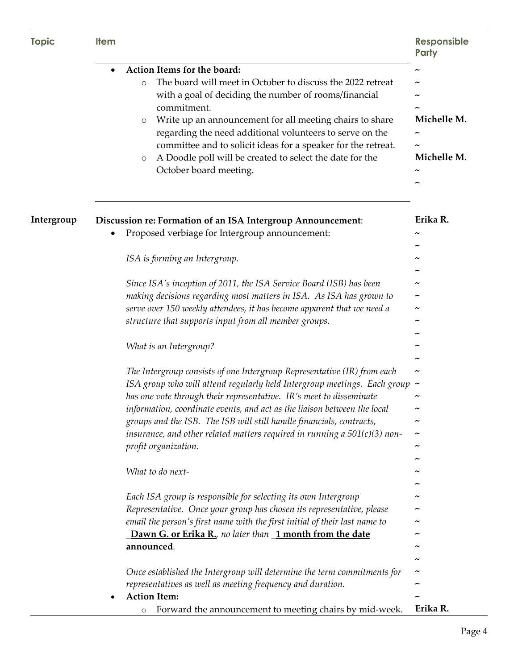| <b>Topic</b> | <b>Item</b>                                                                                                                                                                                                                                                                                                                                                                                                                                                                                  | <b>Responsible</b><br><b>Party</b> |
|--------------|----------------------------------------------------------------------------------------------------------------------------------------------------------------------------------------------------------------------------------------------------------------------------------------------------------------------------------------------------------------------------------------------------------------------------------------------------------------------------------------------|------------------------------------|
|              | Action Items for the board:<br>The board will meet in October to discuss the 2022 retreat<br>$\circ$<br>with a goal of deciding the number of rooms/financial<br>commitment.<br>Write up an announcement for all meeting chairs to share<br>$\circ$<br>regarding the need additional volunteers to serve on the<br>committee and to solicit ideas for a speaker for the retreat.<br>A Doodle poll will be created to select the date for the<br>O<br>October board meeting.                  | Michelle M.<br>Michelle M.         |
| Intergroup   | Discussion re: Formation of an ISA Intergroup Announcement:<br>Proposed verbiage for Intergroup announcement:                                                                                                                                                                                                                                                                                                                                                                                | Erika R.                           |
|              | ISA is forming an Intergroup.                                                                                                                                                                                                                                                                                                                                                                                                                                                                |                                    |
|              | Since ISA's inception of 2011, the ISA Service Board (ISB) has been<br>making decisions regarding most matters in ISA. As ISA has grown to<br>serve over 150 weekly attendees, it has become apparent that we need a<br>structure that supports input from all member groups.                                                                                                                                                                                                                |                                    |
|              | What is an Intergroup?                                                                                                                                                                                                                                                                                                                                                                                                                                                                       |                                    |
|              | The Intergroup consists of one Intergroup Representative (IR) from each<br>ISA group who will attend regularly held Intergroup meetings. Each group $\sim$<br>has one vote through their representative. IR's meet to disseminate<br>information, coordinate events, and act as the liaison between the local<br>groups and the ISB. The ISB will still handle financials, contracts,<br>insurance, and other related matters required in running a $501(c)(3)$ non-<br>profit organization. |                                    |
|              | What to do next-                                                                                                                                                                                                                                                                                                                                                                                                                                                                             |                                    |
|              | Each ISA group is responsible for selecting its own Intergroup<br>Representative. Once your group has chosen its representative, please<br>email the person's first name with the first initial of their last name to<br>Dawn G. or Erika R., no later than 1 month from the date<br>announced.                                                                                                                                                                                              |                                    |
|              | Once established the Intergroup will determine the term commitments for<br>representatives as well as meeting frequency and duration.<br><b>Action Item:</b><br>Forward the announcement to meeting chairs by mid-week.<br>$\circ$                                                                                                                                                                                                                                                           | Erika R.                           |